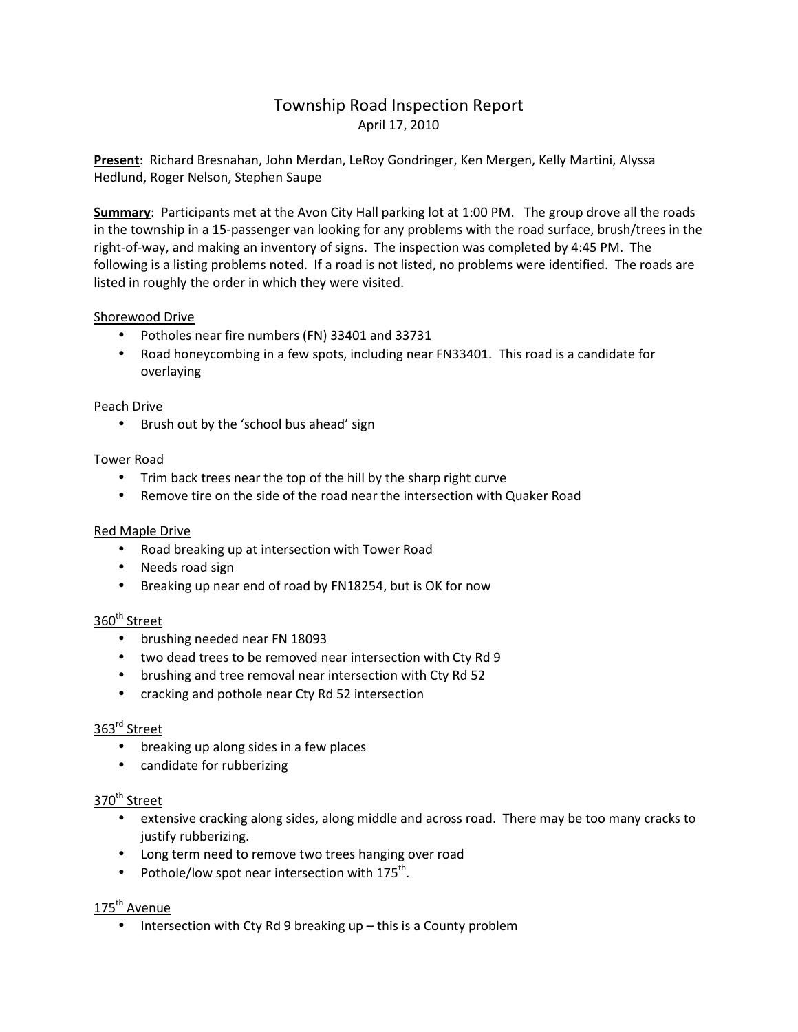# Township Road Inspection Report April 17, 2010

**Present**: Richard Bresnahan, John Merdan, LeRoy Gondringer, Ken Mergen, Kelly Martini, Alyssa Hedlund, Roger Nelson, Stephen Saupe

**Summary**: Participants met at the Avon City Hall parking lot at 1:00 PM. The group drove all the roads in the township in a 15-passenger van looking for any problems with the road surface, brush/trees in the right-of-way, and making an inventory of signs. The inspection was completed by 4:45 PM. The following is a listing problems noted. If a road is not listed, no problems were identified. The roads are listed in roughly the order in which they were visited.

### Shorewood Drive

- Potholes near fire numbers (FN) 33401 and 33731
- Road honeycombing in a few spots, including near FN33401. This road is a candidate for overlaying

### Peach Drive

• Brush out by the 'school bus ahead' sign

### Tower Road

- Trim back trees near the top of the hill by the sharp right curve
- Remove tire on the side of the road near the intersection with Quaker Road

### Red Maple Drive

- Road breaking up at intersection with Tower Road
- Needs road sign
- Breaking up near end of road by FN18254, but is OK for now

## 360<sup>th</sup> Street

- brushing needed near FN 18093
- two dead trees to be removed near intersection with Cty Rd 9
- brushing and tree removal near intersection with Cty Rd 52
- cracking and pothole near Cty Rd 52 intersection

### 363rd Street

- breaking up along sides in a few places
- candidate for rubberizing

### 370<sup>th</sup> Street

- extensive cracking along sides, along middle and across road. There may be too many cracks to justify rubberizing.
- Long term need to remove two trees hanging over road
- Pothole/low spot near intersection with  $175^{th}$ .

### 175<sup>th</sup> Avenue

• Intersection with Cty Rd 9 breaking up – this is a County problem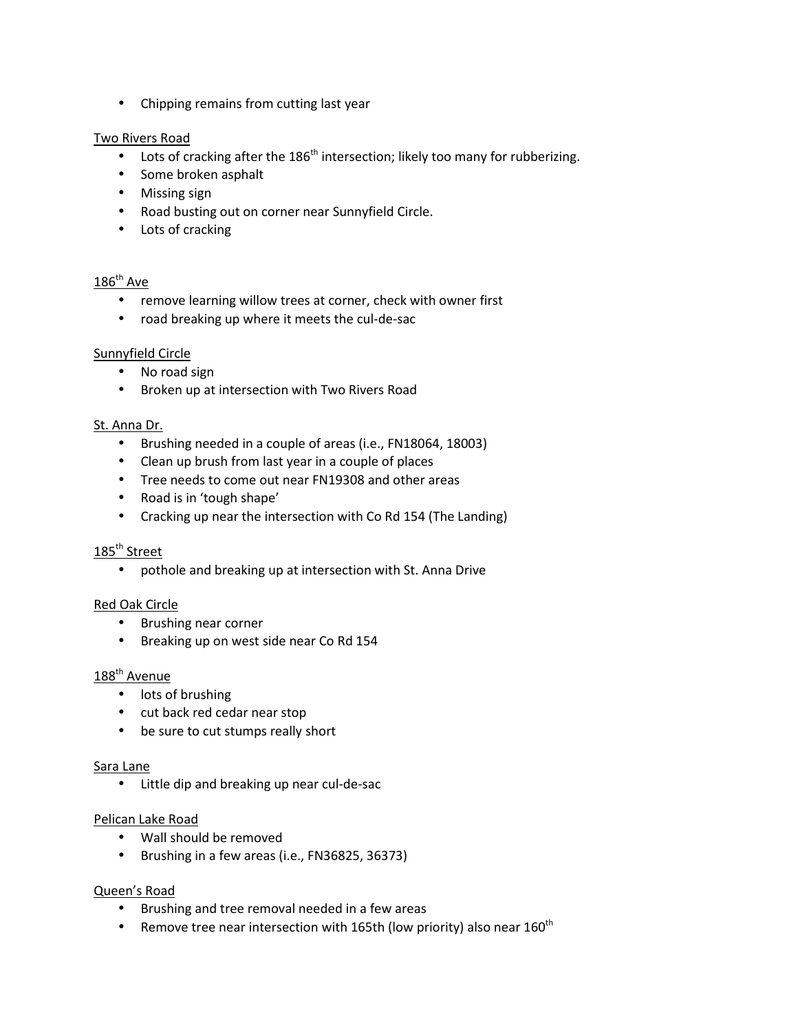• Chipping remains from cutting last year

### Two Rivers Road

- Lots of cracking after the  $186<sup>th</sup>$  intersection; likely too many for rubberizing.
- Some broken asphalt
- Missing sign
- Road busting out on corner near Sunnyfield Circle.
- Lots of cracking

### $186^{\text{th}}$  Ave

- remove learning willow trees at corner, check with owner first
- road breaking up where it meets the cul-de-sac

### Sunnyfield Circle

- No road sign
- Broken up at intersection with Two Rivers Road

#### St. Anna Dr.

- Brushing needed in a couple of areas (i.e., FN18064, 18003)
- Clean up brush from last year in a couple of places
- Tree needs to come out near FN19308 and other areas
- Road is in 'tough shape'
- Cracking up near the intersection with Co Rd 154 (The Landing)

### 185<sup>th</sup> Street

• pothole and breaking up at intersection with St. Anna Drive

### Red Oak Circle

- Brushing near corner
- Breaking up on west side near Co Rd 154

### 188<sup>th</sup> Avenue

- lots of brushing
- cut back red cedar near stop
- be sure to cut stumps really short

#### Sara Lane

• Little dip and breaking up near cul-de-sac

#### Pelican Lake Road

- Wall should be removed
- Brushing in a few areas (i.e., FN36825, 36373)

### Queen's Road

- Brushing and tree removal needed in a few areas
- Remove tree near intersection with 165th (low priority) also near 160<sup>th</sup>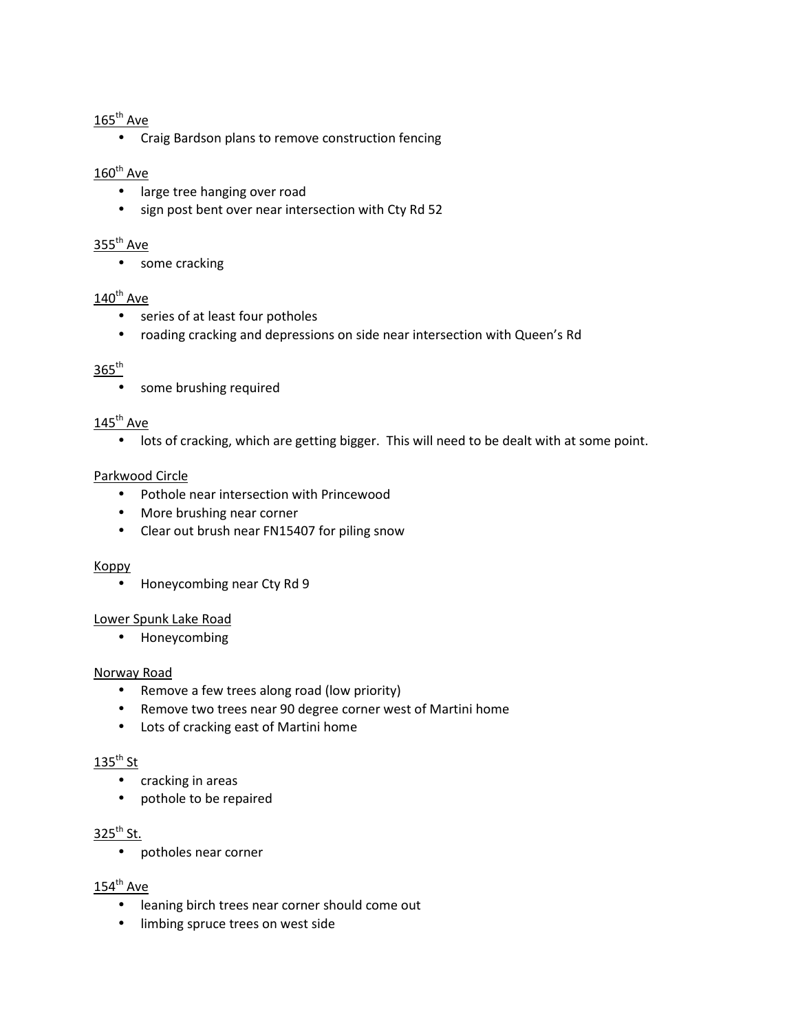## $165^{\text{th}}$  Ave

• Craig Bardson plans to remove construction fencing

# $160^{th}$  Ave

- large tree hanging over road
- sign post bent over near intersection with Cty Rd 52

### $355<sup>th</sup>$  Ave

• some cracking

### $140^{\text{th}}$  Ave

- series of at least four potholes
- roading cracking and depressions on side near intersection with Queen's Rd

# $365^{\text{th}}$

• some brushing required

### $145^{\text{th}}$  Ave

• lots of cracking, which are getting bigger. This will need to be dealt with at some point.

### Parkwood Circle

- Pothole near intersection with Princewood
- More brushing near corner
- Clear out brush near FN15407 for piling snow

### Koppy

• Honeycombing near Cty Rd 9

### Lower Spunk Lake Road

• Honeycombing

### Norway Road

- Remove a few trees along road (low priority)
- Remove two trees near 90 degree corner west of Martini home
- Lots of cracking east of Martini home

## $135^{th}$  St

- cracking in areas
- pothole to be repaired

# $325^{th}$  St.

• potholes near corner

### $154^{\text{th}}$  Ave

- leaning birch trees near corner should come out
- limbing spruce trees on west side